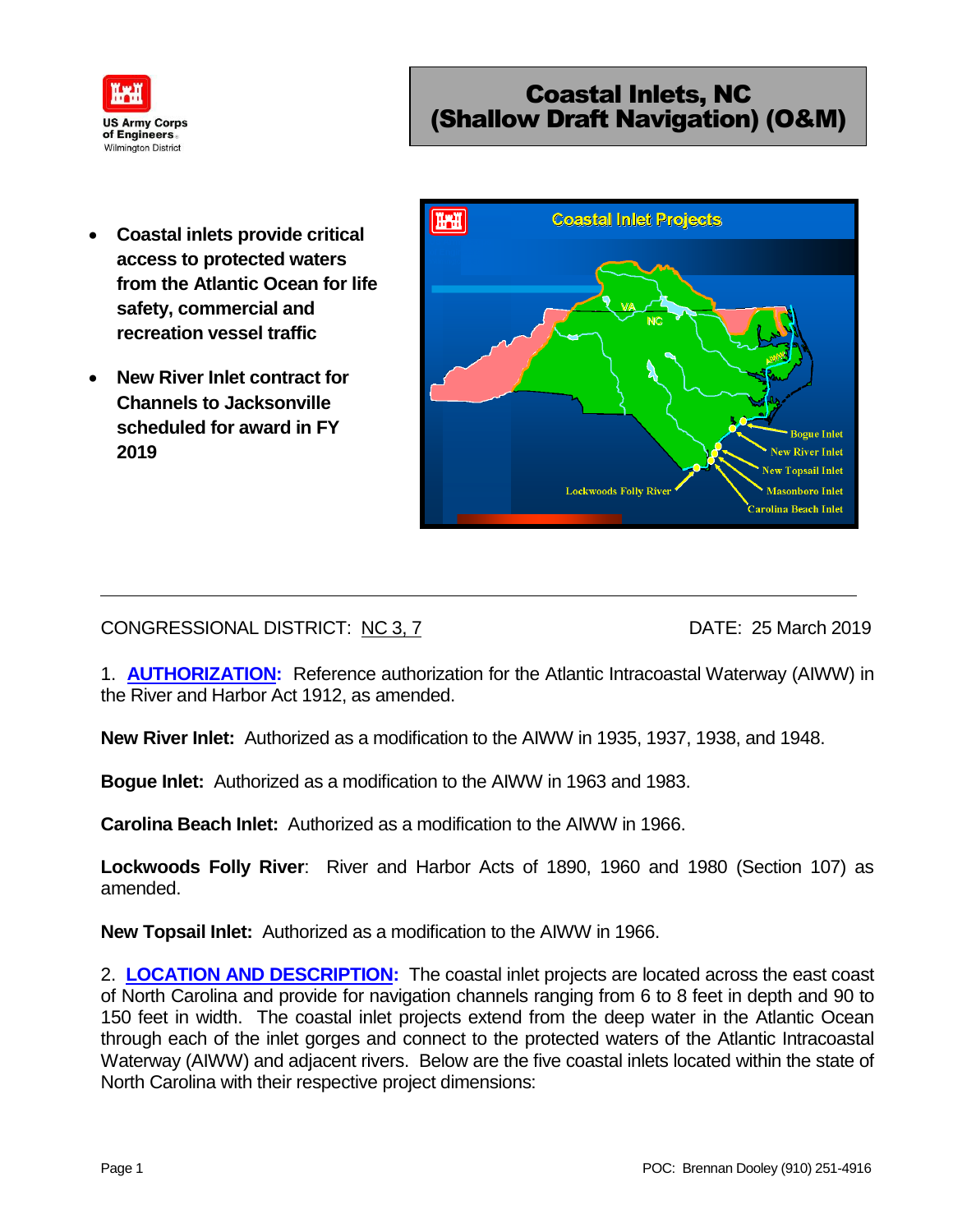

# Coastal Inlets, NC (Shallow Draft Navigation) (O&M)

- **Coastal inlets provide critical access to protected waters from the Atlantic Ocean for life safety, commercial and recreation vessel traffic**
- **New River Inlet contract for Channels to Jacksonville scheduled for award in FY 2019**



CONGRESSIONAL DISTRICT: NC 3, 7 DATE: 25 March 2019

1. **AUTHORIZATION:** Reference authorization for the Atlantic Intracoastal Waterway (AIWW) in the River and Harbor Act 1912, as amended.

**New River Inlet:** Authorized as a modification to the AIWW in 1935, 1937, 1938, and 1948.

**Bogue Inlet:** Authorized as a modification to the AIWW in 1963 and 1983.

**Carolina Beach Inlet:** Authorized as a modification to the AIWW in 1966.

**Lockwoods Folly River**: River and Harbor Acts of 1890, 1960 and 1980 (Section 107) as amended.

**New Topsail Inlet:** Authorized as a modification to the AIWW in 1966.

2. **LOCATION AND DESCRIPTION:** The coastal inlet projects are located across the east coast of North Carolina and provide for navigation channels ranging from 6 to 8 feet in depth and 90 to 150 feet in width. The coastal inlet projects extend from the deep water in the Atlantic Ocean through each of the inlet gorges and connect to the protected waters of the Atlantic Intracoastal Waterway (AIWW) and adjacent rivers. Below are the five coastal inlets located within the state of North Carolina with their respective project dimensions: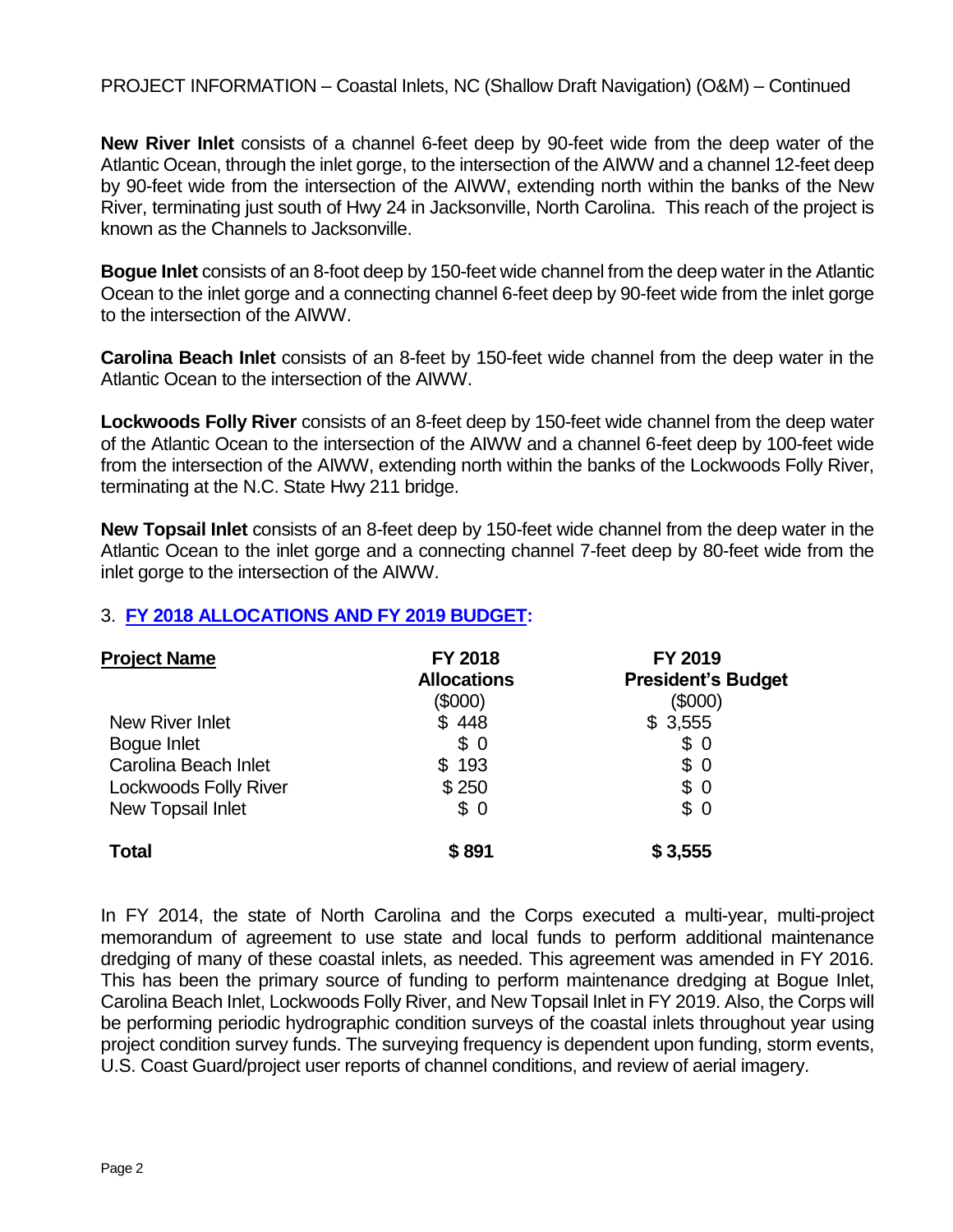PROJECT INFORMATION – Coastal Inlets, NC (Shallow Draft Navigation) (O&M) – Continued

**New River Inlet** consists of a channel 6-feet deep by 90-feet wide from the deep water of the Atlantic Ocean, through the inlet gorge, to the intersection of the AIWW and a channel 12-feet deep by 90-feet wide from the intersection of the AIWW, extending north within the banks of the New River, terminating just south of Hwy 24 in Jacksonville, North Carolina. This reach of the project is known as the Channels to Jacksonville.

**Bogue Inlet** consists of an 8-foot deep by 150-feet wide channel from the deep water in the Atlantic Ocean to the inlet gorge and a connecting channel 6-feet deep by 90-feet wide from the inlet gorge to the intersection of the AIWW.

**Carolina Beach Inlet** consists of an 8-feet by 150-feet wide channel from the deep water in the Atlantic Ocean to the intersection of the AIWW.

**Lockwoods Folly River** consists of an 8-feet deep by 150-feet wide channel from the deep water of the Atlantic Ocean to the intersection of the AIWW and a channel 6-feet deep by 100-feet wide from the intersection of the AIWW, extending north within the banks of the Lockwoods Folly River, terminating at the N.C. State Hwy 211 bridge.

**New Topsail Inlet** consists of an 8-feet deep by 150-feet wide channel from the deep water in the Atlantic Ocean to the inlet gorge and a connecting channel 7-feet deep by 80-feet wide from the inlet gorge to the intersection of the AIWW.

## 3. **FY 2018 ALLOCATIONS AND FY 2019 BUDGET:**

| <b>Project Name</b>          | <b>FY 2018</b><br><b>Allocations</b><br>(\$000) | FY 2019<br><b>President's Budget</b><br>(\$000) |
|------------------------------|-------------------------------------------------|-------------------------------------------------|
| <b>New River Inlet</b>       | \$448                                           | \$3,555                                         |
| Bogue Inlet                  | \$0                                             | \$0                                             |
| Carolina Beach Inlet         | \$193                                           | \$0                                             |
| <b>Lockwoods Folly River</b> | \$250                                           | \$0                                             |
| New Topsail Inlet            | \$0                                             | \$0                                             |
| <b>Total</b>                 | \$891                                           | \$3,555                                         |

In FY 2014, the state of North Carolina and the Corps executed a multi-year, multi-project memorandum of agreement to use state and local funds to perform additional maintenance dredging of many of these coastal inlets, as needed. This agreement was amended in FY 2016. This has been the primary source of funding to perform maintenance dredging at Bogue Inlet, Carolina Beach Inlet, Lockwoods Folly River, and New Topsail Inlet in FY 2019. Also, the Corps will be performing periodic hydrographic condition surveys of the coastal inlets throughout year using project condition survey funds. The surveying frequency is dependent upon funding, storm events, U.S. Coast Guard/project user reports of channel conditions, and review of aerial imagery.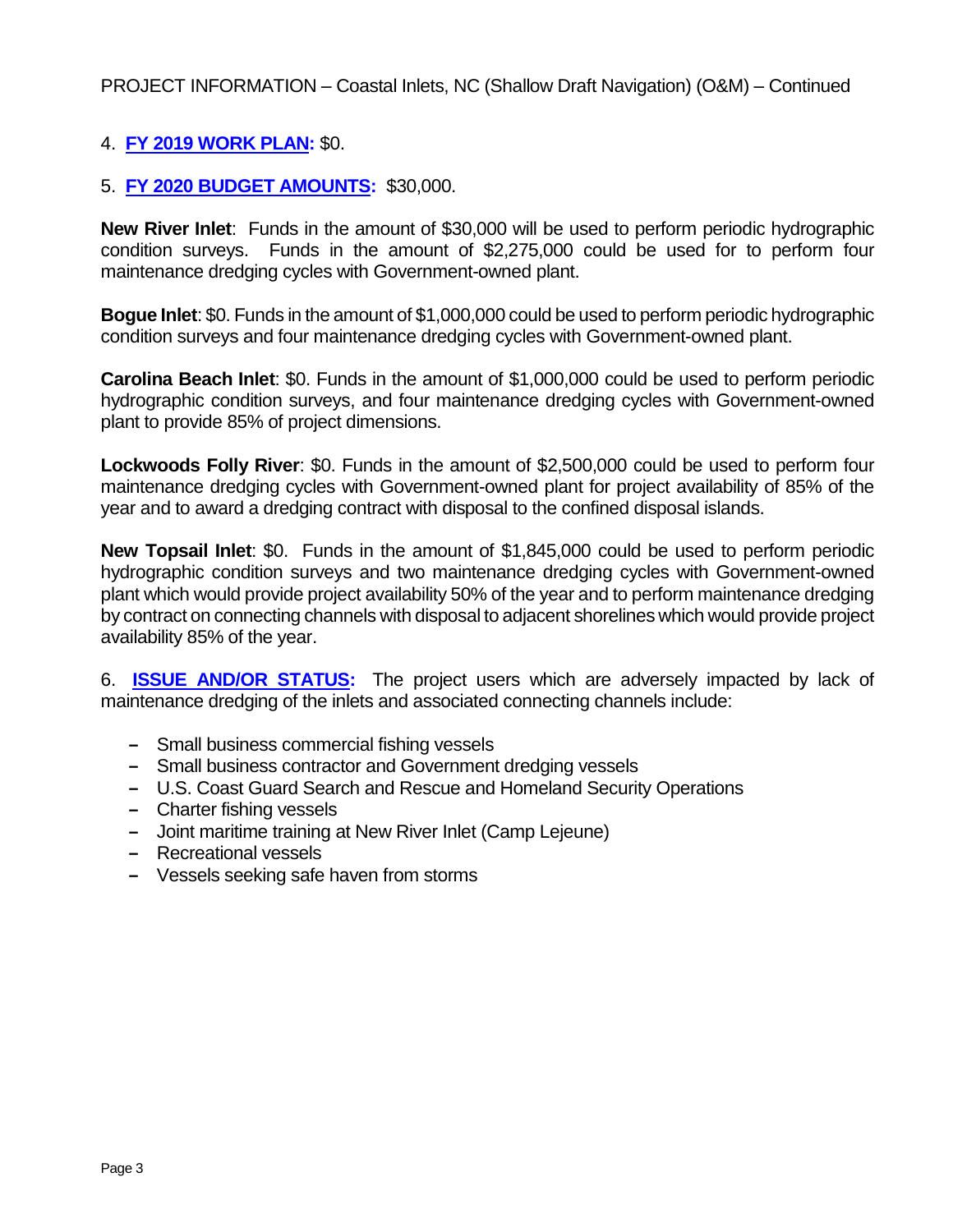## 4. **FY 2019 WORK PLAN:** \$0.

### 5. **FY 2020 BUDGET AMOUNTS:** \$30,000.

**New River Inlet**: Funds in the amount of \$30,000 will be used to perform periodic hydrographic condition surveys. Funds in the amount of \$2,275,000 could be used for to perform four maintenance dredging cycles with Government-owned plant.

**Bogue Inlet**: \$0. Funds in the amount of \$1,000,000 could be used to perform periodic hydrographic condition surveys and four maintenance dredging cycles with Government-owned plant.

**Carolina Beach Inlet**: \$0. Funds in the amount of \$1,000,000 could be used to perform periodic hydrographic condition surveys, and four maintenance dredging cycles with Government-owned plant to provide 85% of project dimensions.

**Lockwoods Folly River**: \$0. Funds in the amount of \$2,500,000 could be used to perform four maintenance dredging cycles with Government-owned plant for project availability of 85% of the year and to award a dredging contract with disposal to the confined disposal islands.

**New Topsail Inlet**: \$0. Funds in the amount of \$1,845,000 could be used to perform periodic hydrographic condition surveys and two maintenance dredging cycles with Government-owned plant which would provide project availability 50% of the year and to perform maintenance dredging by contract on connecting channels with disposal to adjacent shorelines which would provide project availability 85% of the year.

6. **ISSUE AND/OR STATUS:** The project users which are adversely impacted by lack of maintenance dredging of the inlets and associated connecting channels include:

- **‒** Small business commercial fishing vessels
- **‒** Small business contractor and Government dredging vessels
- **‒** U.S. Coast Guard Search and Rescue and Homeland Security Operations
- **‒** Charter fishing vessels
- **‒** Joint maritime training at New River Inlet (Camp Lejeune)
- **‒** Recreational vessels
- **‒** Vessels seeking safe haven from storms